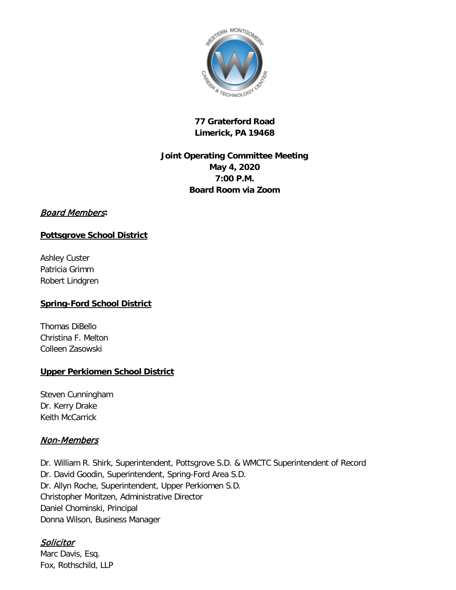

# **77 Graterford Road Limerick, PA 19468**

# **Joint Operating Committee Meeting May 4, 2020 7:00 P.M. Board Room via Zoom**

## Board Members**:**

## **Pottsgrove School District**

Ashley Custer Patricia Grimm Robert Lindgren

## **Spring-Ford School District**

Thomas DiBello Christina F. Melton Colleen Zasowski

# **Upper Perkiomen School District**

Steven Cunningham Dr. Kerry Drake Keith McCarrick

# Non-Members

Dr. William R. Shirk, Superintendent, Pottsgrove S.D. & WMCTC Superintendent of Record Dr. David Goodin, Superintendent, Spring-Ford Area S.D. Dr. Allyn Roche, Superintendent, Upper Perkiomen S.D. Christopher Moritzen, Administrative Director Daniel Chominski, Principal Donna Wilson, Business Manager

# **Solicitor**

Marc Davis, Esq. Fox, Rothschild, LLP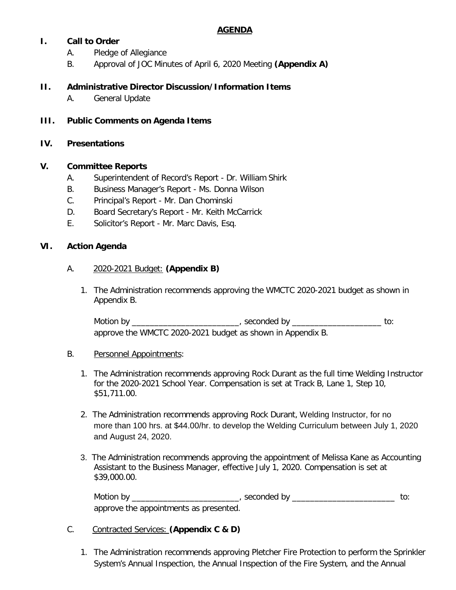## **AGENDA**

## **I. Call to Order**

- A. Pledge of Allegiance
- B. Approval of JOC Minutes of April 6, 2020 Meeting **(Appendix A)**

### **II. Administrative Director Discussion/Information Items**

- A. General Update
- **III. Public Comments on Agenda Items**

#### **IV. Presentations**

#### **V. Committee Reports**

- A. Superintendent of Record's Report Dr. William Shirk
- B. Business Manager's Report Ms. Donna Wilson
- C. Principal's Report Mr. Dan Chominski
- D. Board Secretary's Report Mr. Keith McCarrick
- E. Solicitor's Report Mr. Marc Davis, Esq.

#### **VI. Action Agenda**

#### A. 2020-2021 Budget: **(Appendix B)**

1. The Administration recommends approving the WMCTC 2020-2021 budget as shown in Appendix B.

Motion by \_\_\_\_\_\_\_\_\_\_\_\_\_\_\_\_\_\_\_\_\_\_\_\_\_\_\_, seconded by \_\_\_\_\_\_\_\_\_\_\_\_\_\_\_\_\_\_\_\_\_\_\_\_\_\_\_ to: approve the WMCTC 2020-2021 budget as shown in Appendix B.

#### B. Personnel Appointments:

- 1. The Administration recommends approving Rock Durant as the full time Welding Instructor for the 2020-2021 School Year. Compensation is set at Track B, Lane 1, Step 10, \$51,711.00.
- 2. The Administration recommends approving Rock Durant, Welding Instructor, for no more than 100 hrs. at \$44.00/hr. to develop the Welding Curriculum between July 1, 2020 and August 24, 2020.
- 3. The Administration recommends approving the appointment of Melissa Kane as Accounting Assistant to the Business Manager, effective July 1, 2020. Compensation is set at \$39,000.00.

Motion by \_\_\_\_\_\_\_\_\_\_\_\_\_\_\_\_\_\_\_\_\_\_\_\_\_\_\_\_, seconded by \_\_\_\_\_\_\_\_\_\_\_\_\_\_\_\_\_\_\_\_\_\_\_\_\_\_\_\_\_ to: approve the appointments as presented.

#### C. Contracted Services: **(Appendix C & D)**

1. The Administration recommends approving Pletcher Fire Protection to perform the Sprinkler System's Annual Inspection, the Annual Inspection of the Fire System, and the Annual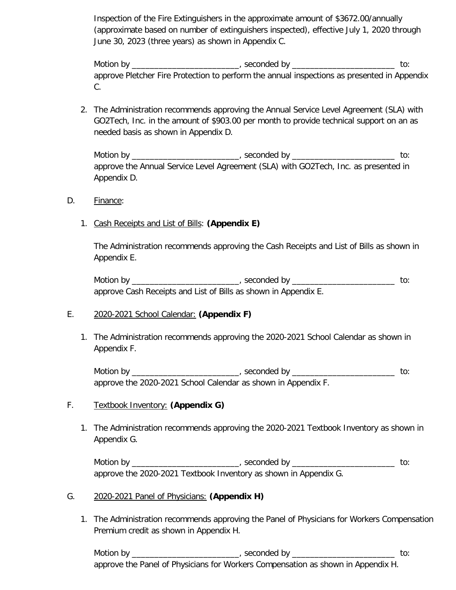Inspection of the Fire Extinguishers in the approximate amount of \$3672.00/annually (approximate based on number of extinguishers inspected), effective July 1, 2020 through June 30, 2023 (three years) as shown in Appendix C.

Motion by \_\_\_\_\_\_\_\_\_\_\_\_\_\_\_\_\_\_\_\_\_\_\_\_\_, seconded by \_\_\_\_\_\_\_\_\_\_\_\_\_\_\_\_\_\_\_\_\_\_\_\_\_\_\_\_\_\_\_ to: approve Pletcher Fire Protection to perform the annual inspections as presented in Appendix C.

2. The Administration recommends approving the Annual Service Level Agreement (SLA) with GO2Tech, Inc. in the amount of \$903.00 per month to provide technical support on an as needed basis as shown in Appendix D.

Motion by \_\_\_\_\_\_\_\_\_\_\_\_\_\_\_\_\_\_\_\_\_\_\_\_\_, seconded by \_\_\_\_\_\_\_\_\_\_\_\_\_\_\_\_\_\_\_\_\_\_\_\_\_\_\_\_\_\_\_ to: approve the Annual Service Level Agreement (SLA) with GO2Tech, Inc. as presented in Appendix D.

- D. Finance:
	- 1. Cash Receipts and List of Bills: **(Appendix E)**

The Administration recommends approving the Cash Receipts and List of Bills as shown in Appendix E.

Motion by \_\_\_\_\_\_\_\_\_\_\_\_\_\_\_\_\_\_\_\_\_\_\_\_\_\_\_, seconded by \_\_\_\_\_\_\_\_\_\_\_\_\_\_\_\_\_\_\_\_\_\_\_\_\_\_\_\_\_ to: approve Cash Receipts and List of Bills as shown in Appendix E.

## E. 2020-2021 School Calendar: **(Appendix F)**

1. The Administration recommends approving the 2020-2021 School Calendar as shown in Appendix F.

Motion by \_\_\_\_\_\_\_\_\_\_\_\_\_\_\_\_\_\_\_\_\_\_\_\_\_\_\_\_, seconded by \_\_\_\_\_\_\_\_\_\_\_\_\_\_\_\_\_\_\_\_\_\_\_\_\_\_\_\_\_ to: approve the 2020-2021 School Calendar as shown in Appendix F.

## F. Textbook Inventory: **(Appendix G)**

1. The Administration recommends approving the 2020-2021 Textbook Inventory as shown in Appendix G.

Motion by \_\_\_\_\_\_\_\_\_\_\_\_\_\_\_\_\_\_\_\_\_\_\_\_\_\_\_\_, seconded by \_\_\_\_\_\_\_\_\_\_\_\_\_\_\_\_\_\_\_\_\_\_\_\_\_\_\_\_\_ to: approve the 2020-2021 Textbook Inventory as shown in Appendix G.

#### G. 2020-2021 Panel of Physicians: **(Appendix H)**

1. The Administration recommends approving the Panel of Physicians for Workers Compensation Premium credit as shown in Appendix H.

Motion by \_\_\_\_\_\_\_\_\_\_\_\_\_\_\_\_\_\_\_\_\_\_\_\_\_\_, seconded by \_\_\_\_\_\_\_\_\_\_\_\_\_\_\_\_\_\_\_\_\_\_\_\_\_\_\_\_\_\_ to: approve the Panel of Physicians for Workers Compensation as shown in Appendix H.